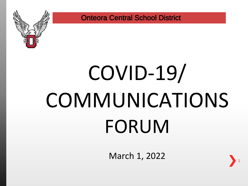

# COVID-19/ **COMMUNICATIONS** FORUM

March 1, 2022

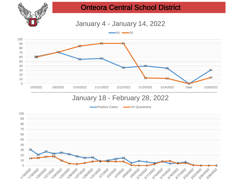

January 4 - January 14, 2022



#### January 18 - February 28, 2022

Positive Cases **Communist Contract** 

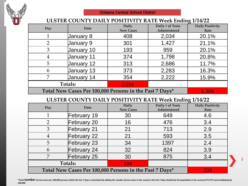

#### **ULSTER COUNTY DAILY POSITIVITY RATE Week Ending 1/14/22**

| Day                                                     | Date       | Daily            | Daily # of Tests | <b>Daily Positivity</b> |
|---------------------------------------------------------|------------|------------------|------------------|-------------------------|
|                                                         |            | <b>New Cases</b> | Administered     | Rate                    |
|                                                         | January 8  | 408              | 2,034            | 20.1%                   |
| $\overline{2}$                                          | January 9  | 301              | 1,427            | 21.1%                   |
| 3                                                       | January 10 | 193              | 959              | 20.1%                   |
| 4                                                       | January 11 | 374              | 1,798            | 20.8%                   |
| 5                                                       | January 12 | 313              | 2,686            | 11.7%                   |
| 6                                                       | January 13 | 373              | 2,283            | 16.3%                   |
| 7                                                       | January 14 | 354              | 2,222            | 15.9%                   |
|                                                         | Totals:    | 2,316            |                  |                         |
| Total New Cases Per 100,000 Persons in the Past 7 Days* | 1,304      |                  |                  |                         |

#### **ULSTER COUNTY DAILY POSITIVITY RATE Week Ending 1/14/22**

| Day                                                     | Date           | Daily<br><b>New Cases</b> | Daily # of Tests<br>Administered | <b>Daily Positivity</b><br>Rate |
|---------------------------------------------------------|----------------|---------------------------|----------------------------------|---------------------------------|
|                                                         | February 19    | 30                        | 649                              | 4.6                             |
| $\mathfrak{D}$                                          | February 20    | 16                        | 476                              | 3.4                             |
| 3                                                       | February 21    | 21                        | 713                              | 2.9                             |
| 4                                                       | February 22    | 21                        | 593                              | 3.5                             |
| 5                                                       | February 23    | 34                        | 1397                             | 2.4                             |
| 6                                                       | February 24    | 32                        | 824                              | 3.9                             |
| 7                                                       | February 25    | 30                        | 875                              | 3.4                             |
|                                                         | <b>Totals:</b> | 184                       |                                  |                                 |
| Total New Cases Per 100,000 Persons in the Past 7 Days* | 104            |                           |                                  |                                 |

\*Total NUMDET of new cases per 100,000 persons within the last 7 days is calculated by adding the number of new cases in the county in the last 7 days divided by the population in the county (177,577) and multiplying by *100,000.*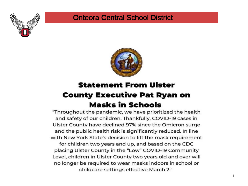



### **Statement From Ulster County Executive Pat Ryan on Masks in Schools**

"Throughout the pandemic, we have prioritized the health and safety of our children. Thankfully, COVID-19 cases in Ulster County have declined 97% since the Omicron surge and the public health risk is significantly reduced. In line with New York State's decision to lift the mask requirement for children two years and up, and based on the CDC placing Ulster County in the "Low" COVID-19 Community Level, children in Ulster County two years old and over will no longer be required to wear masks indoors in school or

childcare settings effective March 2."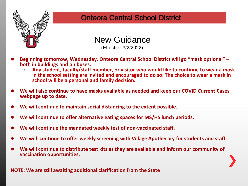



(Effective 3/2/2022)

- **Beginning tomorrow, Wednesday, Onteora Central School District will go "mask optional" – both in buildings and on buses.** 
	- **Any student, faculty/staff member, or visitor who would like to continue to wear a mask in the school setting are invited and encouraged to do so. The choice to wear a mask in school will be a personal and family decision.**
- **We will also continue to have masks available as needed and keep our COVID Current Cases webpage up to date.**
- We will continue to maintain social distancing to the extent possible.
- We will continue to offer alternative eating spaces for MS/HS lunch periods.
- We will continue the mandated weekly test of non-vaccinated staff.
- We will continue to offer weekly screening with Village Apothecary for students and staff.
- We will continue to distribute test kits as they are available and inform our community of **vaccination opportunities.**

**NOTE: We are still awaiting additional clarification from the State**